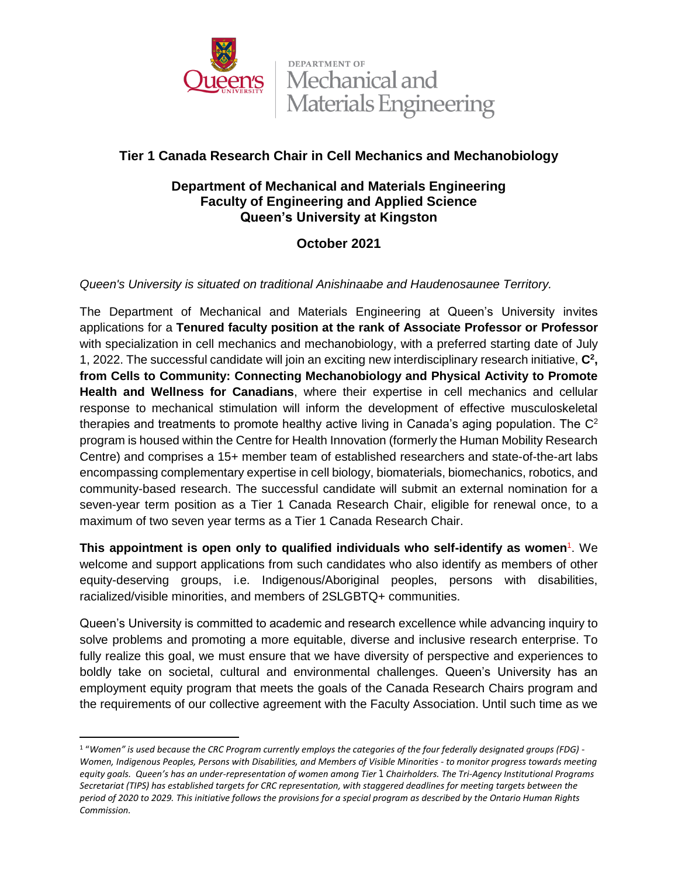

**DEPARTMENT OF** Mechanical and Materials Engineering

# **Tier 1 Canada Research Chair in Cell Mechanics and Mechanobiology**

## **Department of Mechanical and Materials Engineering Faculty of Engineering and Applied Science Queen's University at Kingston**

# **October 2021**

### *Queen's University is situated on traditional Anishinaabe and Haudenosaunee Territory.*

The Department of Mechanical and Materials Engineering at Queen's University invites applications for a **Tenured faculty position at the rank of Associate Professor or Professor** with specialization in cell mechanics and mechanobiology, with a preferred starting date of July 1, 2022. The successful candidate will join an exciting new interdisciplinary research initiative, **C<sup>2</sup> , from Cells to Community: Connecting Mechanobiology and Physical Activity to Promote Health and Wellness for Canadians**, where their expertise in cell mechanics and cellular response to mechanical stimulation will inform the development of effective musculoskeletal therapies and treatments to promote healthy active living in Canada's aging population. The  $C^2$ program is housed within the Centre for Health Innovation (formerly the Human Mobility Research Centre) and comprises a 15+ member team of established researchers and state-of-the-art labs encompassing complementary expertise in cell biology, biomaterials, biomechanics, robotics, and community-based research. The successful candidate will submit an external nomination for a seven-year term position as a Tier 1 Canada Research Chair, eligible for renewal once, to a maximum of two seven year terms as a Tier 1 Canada Research Chair.

**This appointment is open only to qualified individuals who self-identify as women<sup>1</sup>. We** welcome and support applications from such candidates who also identify as members of other equity-deserving groups, i.e. Indigenous/Aboriginal peoples, persons with disabilities, racialized/visible minorities, and members of 2SLGBTQ+ communities.

Queen's University is committed to academic and research excellence while advancing inquiry to solve problems and promoting a more equitable, diverse and inclusive research enterprise. To fully realize this goal, we must ensure that we have diversity of perspective and experiences to boldly take on societal, cultural and environmental challenges. Queen's University has an employment equity program that meets the goals of the Canada Research Chairs program and the requirements of our collective agreement with the Faculty Association. Until such time as we

 $\overline{a}$ 

*Commission. period of 2020 to 2029. This initiative follows the provisions for a special program as described by the Ontario Human Rights Secretariat (TIPS) has established targets for CRC representation, with staggered deadlines for meeting targets between the equity goals. Queen's has an under-representation of women among Tier 1 Chairholders. The Tri-Agency Institutional Programs Women, Indigenous Peoples, Persons with Disabilities, and Members of Visible Minorities - to monitor progress towards meeting* <sup>1</sup> "*Women" is used because the CRC Program currently employs the categories of the four federally designated groups (FDG) -*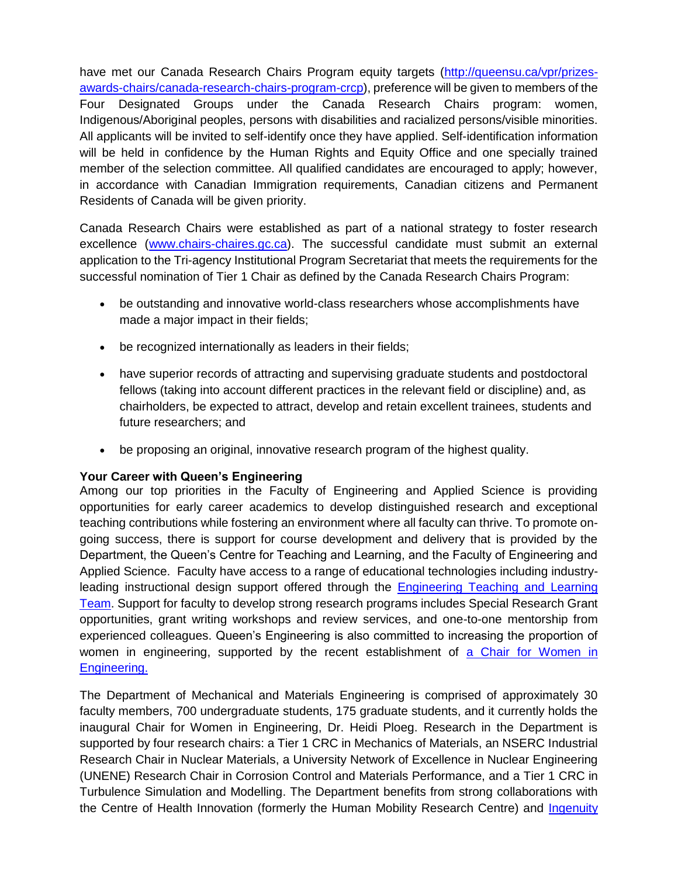have met our Canada Research Chairs Program equity targets [\(http://queensu.ca/vpr/prizes](http://queensu.ca/vpr/prizes-awards-chairs/canada-research-chairs-program-crcp)[awards-chairs/canada-research-chairs-program-crcp\)](http://queensu.ca/vpr/prizes-awards-chairs/canada-research-chairs-program-crcp), preference will be given to members of the Four Designated Groups under the Canada Research Chairs program: women, Indigenous/Aboriginal peoples, persons with disabilities and racialized persons/visible minorities. All applicants will be invited to self-identify once they have applied. Self-identification information will be held in confidence by the Human Rights and Equity Office and one specially trained member of the selection committee. All qualified candidates are encouraged to apply; however, in accordance with Canadian Immigration requirements, Canadian citizens and Permanent Residents of Canada will be given priority.

Canada Research Chairs were established as part of a national strategy to foster research excellence [\(www.chairs-chaires.gc.ca\)](http://www.chairs-chaires.gc.ca/). The successful candidate must submit an external application to the Tri-agency Institutional Program Secretariat that meets the requirements for the successful nomination of Tier 1 Chair as defined by the Canada Research Chairs Program:

- be outstanding and innovative world-class researchers whose accomplishments have made a major impact in their fields;
- be recognized internationally as leaders in their fields;
- have superior records of attracting and supervising graduate students and postdoctoral fellows (taking into account different practices in the relevant field or discipline) and, as chairholders, be expected to attract, develop and retain excellent trainees, students and future researchers; and
- be proposing an original, innovative research program of the highest quality.

#### **Your Career with Queen's Engineering**

Among our top priorities in the Faculty of Engineering and Applied Science is providing opportunities for early career academics to develop distinguished research and exceptional teaching contributions while fostering an environment where all faculty can thrive. To promote ongoing success, there is support for course development and delivery that is provided by the Department, the Queen's Centre for Teaching and Learning, and the Faculty of Engineering and Applied Science. Faculty have access to a range of educational technologies including industryleading instructional design support offered through the [Engineering Teaching and Learning](https://engineering.queensu.ca/About/teaching-and-learning/team.html)  [Team.](https://engineering.queensu.ca/About/teaching-and-learning/team.html) Support for faculty to develop strong research programs includes Special Research Grant opportunities, grant writing workshops and review services, and one-to-one mentorship from experienced colleagues. Queen's Engineering is also committed to increasing the proportion of women in engineering, supported by the recent establishment of [a Chair for Women in](https://engineering.queensu.ca/women-in-engineering/)  [Engineering.](https://engineering.queensu.ca/women-in-engineering/)

The Department of Mechanical and Materials Engineering is comprised of approximately 30 faculty members, 700 undergraduate students, 175 graduate students, and it currently holds the inaugural Chair for Women in Engineering, Dr. Heidi Ploeg. Research in the Department is supported by four research chairs: a Tier 1 CRC in Mechanics of Materials, an NSERC Industrial Research Chair in Nuclear Materials, a University Network of Excellence in Nuclear Engineering (UNENE) Research Chair in Corrosion Control and Materials Performance, and a Tier 1 CRC in Turbulence Simulation and Modelling. The Department benefits from strong collaborations with the Centre of Health Innovation (formerly the Human Mobility Research Centre) and Ingenuity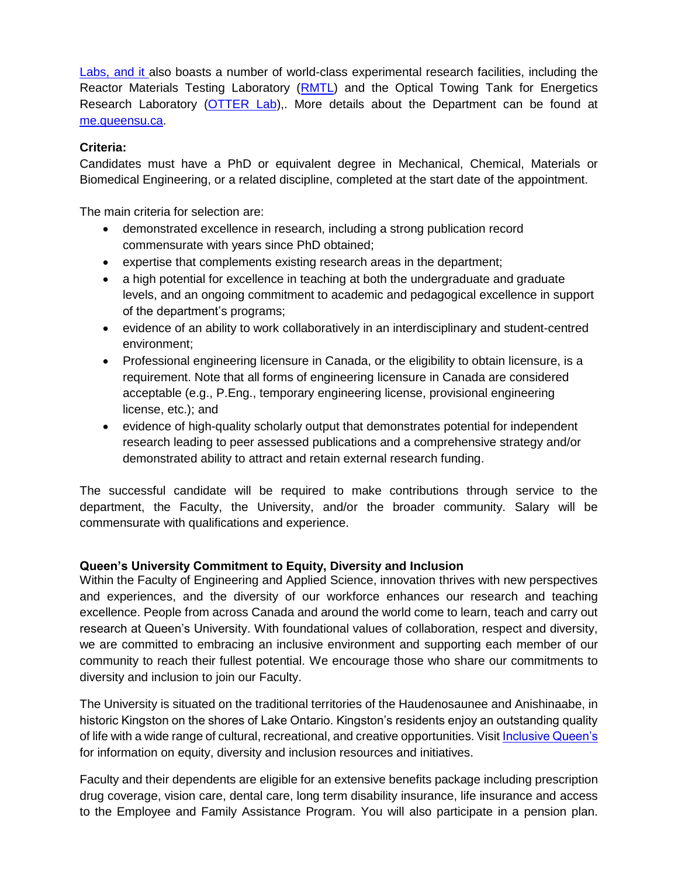[Labs,](https://ingenuitylabs.queensu.ca/) and it also boasts a number of world-class experimental research facilities, including the Reactor Materials Testing Laboratory [\(RMTL\)](https://rmtl.engineering.queensu.ca/) and the Optical Towing Tank for Energetics Research Laboratory [\(OTTER Lab\)](https://rivallab.com/facilities/),. More details about the Department can be found at [me.queensu.ca.](https://me.queensu.ca/)

#### **Criteria:**

Candidates must have a PhD or equivalent degree in Mechanical, Chemical, Materials or Biomedical Engineering, or a related discipline, completed at the start date of the appointment.

The main criteria for selection are:

- demonstrated excellence in research, including a strong publication record commensurate with years since PhD obtained;
- expertise that complements existing research areas in the department;
- a high potential for excellence in teaching at both the undergraduate and graduate levels, and an ongoing commitment to academic and pedagogical excellence in support of the department's programs;
- evidence of an ability to work collaboratively in an interdisciplinary and student-centred environment;
- Professional engineering licensure in Canada, or the eligibility to obtain licensure, is a requirement. Note that all forms of engineering licensure in Canada are considered acceptable (e.g., P.Eng., temporary engineering license, provisional engineering license, etc.); and
- evidence of high-quality scholarly output that demonstrates potential for independent research leading to peer assessed publications and a comprehensive strategy and/or demonstrated ability to attract and retain external research funding.

The successful candidate will be required to make contributions through service to the department, the Faculty, the University, and/or the broader community. Salary will be commensurate with qualifications and experience.

#### **Queen's University Commitment to Equity, Diversity and Inclusion**

Within the Faculty of Engineering and Applied Science, innovation thrives with new perspectives and experiences, and the diversity of our workforce enhances our research and teaching excellence. People from across Canada and around the world come to learn, teach and carry out research at Queen's University. With foundational values of collaboration, respect and diversity, we are committed to embracing an inclusive environment and supporting each member of our community to reach their fullest potential. We encourage those who share our commitments to diversity and inclusion to join our Faculty.

The University is situated on the traditional territories of the Haudenosaunee and Anishinaabe, in historic Kingston on the shores of Lake Ontario. Kingston's residents enjoy an outstanding quality of life with a wide range of cultural, recreational, and creative opportunities. Visit [Inclusive Queen's](https://www.queensu.ca/inclusive/content/home) for information on equity, diversity and inclusion resources and initiatives.

Faculty and their dependents are eligible for an extensive benefits package including prescription drug coverage, vision care, dental care, long term disability insurance, life insurance and access to the Employee and Family Assistance Program. You will also participate in a pension plan.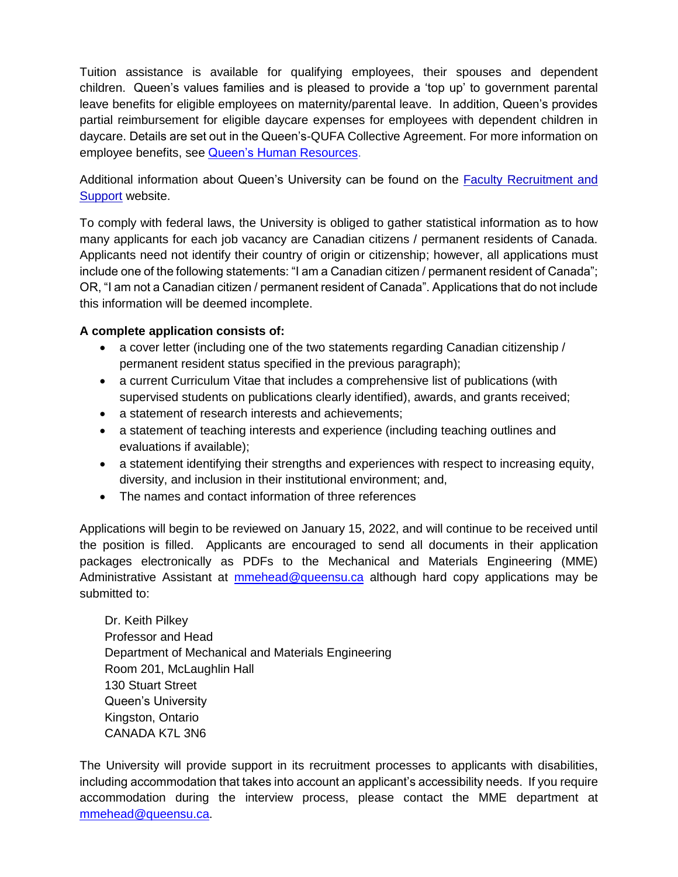Tuition assistance is available for qualifying employees, their spouses and dependent children. Queen's values families and is pleased to provide a 'top up' to government parental leave benefits for eligible employees on maternity/parental leave. In addition, Queen's provides partial reimbursement for eligible daycare expenses for employees with dependent children in daycare. Details are set out in the Queen's-QUFA Collective Agreement. For more information on employee benefits, see [Queen's Human Resources.](http://www.queensu.ca/humanresources/)

Additional information about Queen's University can be found on the [Faculty Recruitment and](http://www.queensu.ca/facultyrecruitment)  [Support](http://www.queensu.ca/facultyrecruitment) website.

To comply with federal laws, the University is obliged to gather statistical information as to how many applicants for each job vacancy are Canadian citizens / permanent residents of Canada. Applicants need not identify their country of origin or citizenship; however, all applications must include one of the following statements: "I am a Canadian citizen / permanent resident of Canada"; OR, "I am not a Canadian citizen / permanent resident of Canada". Applications that do not include this information will be deemed incomplete.

### **A complete application consists of:**

- a cover letter (including one of the two statements regarding Canadian citizenship / permanent resident status specified in the previous paragraph);
- a current Curriculum Vitae that includes a comprehensive list of publications (with supervised students on publications clearly identified), awards, and grants received;
- a statement of research interests and achievements;
- a statement of teaching interests and experience (including teaching outlines and evaluations if available);
- a statement identifying their strengths and experiences with respect to increasing equity, diversity, and inclusion in their institutional environment; and,
- The names and contact information of three references

Applications will begin to be reviewed on January 15, 2022, and will continue to be received until the position is filled. Applicants are encouraged to send all documents in their application packages electronically as PDFs to the Mechanical and Materials Engineering (MME) Administrative Assistant at **[mmehead@queensu.ca](mailto:mmehead@queensu.ca)** although hard copy applications may be submitted to:

Dr. Keith Pilkey Professor and Head Department of Mechanical and Materials Engineering Room 201, McLaughlin Hall 130 Stuart Street Queen's University Kingston, Ontario CANADA K7L 3N6

The University will provide support in its recruitment processes to applicants with disabilities, including accommodation that takes into account an applicant's accessibility needs. If you require accommodation during the interview process, please contact the MME department at [mmehead@queensu.ca.](mailto:mmehead@queensu.ca)